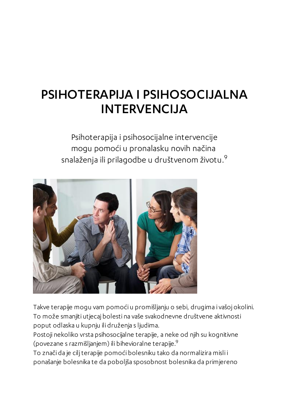## PSIHOTERAPIJA I PSIHOSOCIJALNA INTERVENCIJA

Psihoterapija i psihosocijalne intervencije mogu pomoći u pronalasku novih načina snalaženja ili prilagodbe u društvenom životu. $^9$ 



Takve terapije mogu vam pomoći u promišljanju o sebi, drugima i vašoj okolini. To može smanjiti utjecaj bolesti na vaše svakodnevne društvene aktivnosti poput odlaska u kupnju ili druženja s ljudima.

Postoji nekoliko vrsta psihosocijalne terapije, a neke od njih su kognitivne (povezane s razmišljanjem) ili bihevioralne terapije. $^9$ 

To znači da je ciljterapije pomoći bolesniku tako da normalizira misli i ponašanje bolesnika te da poboljša sposobnost bolesnika da primjereno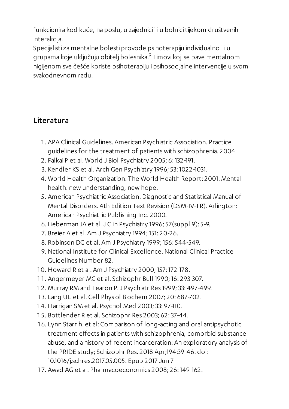funkcionira kod kuće, na poslu, u zajednici ili u bolnicitijekom društvenih interakcija.

Specijalisti za mentalne bolesti provode psihoterapiju individualno ili u grupama koje uključuju obitelj bolesnika. $^9$ Timovi koji se bave mentalnom higijenom sve češće koriste psihoterapiju i psihosocijalne intervencije u svom svakodnevnom radu.

## Literatura

- . APA Clinical Guidelines. American Psychiatric Association. Practice guidelines for the treatment of patients with schizophrenia. 2004
- . Falkai P et al. World J Biol Psychiatry 2005; 6: 132-191.
- . Kendler KS et al. Arch Gen Psychiatry 1996; 53: 1022-1031.
- . World Health Organization. The World Health Report: 2001: Mental health: new understanding, new hope.
- . American Psychiatric Association. Diagnostic and Statistical Manual of Mental Disorders. 4th Edition Text Revision (DSM-IV-TR). Arlington: American Psychiatric Publishing Inc. 2000.
- . Lieberman JA et al.J Clin Psychiatry 1996; 57(suppl 9): 5-9.
- . Breier A et al. Am J Psychiatry 1994; 151: 20-26.
- . Robinson DG et al. Am J Psychiatry 1999; 156: 544-549.
- . National Institute for Clinical Excellence.National Clinical Practice Guidelines Number 82.
- . Howard R et al. Am J Psychiatry 2000; 157: 172-178.
- . Angermeyer MC et al. Schizophr Bull 1990; 16: 293-307.
- . Murray RM and Fearon P.J Psychiatr Res 1999;33: 497-499.
- . Lang UE et al. Cell Physiol Biochem 2007; 20: 687-702.
- . Harrigan SM et al. Psychol Med 2003;33: 97-110.
- . Bottlender R et al. Schizophr Res 2003; 62:37-44.
- . Lynn Starr h. et al: Comparison of long-acting and oral antipsychotic treatment effects in patients with schizophrenia, comorbid substance abuse, and a history of recent incarceration: An exploratory analysis of the PRIDE study; Schizophr Res. 2018 Apr;194:39-46. doi: 10.1016/j.schres.2017.05.005. Epub 2017 Jun 7
- . Awad AG et al. Pharmacoeconomics 2008; 26: 149-162.